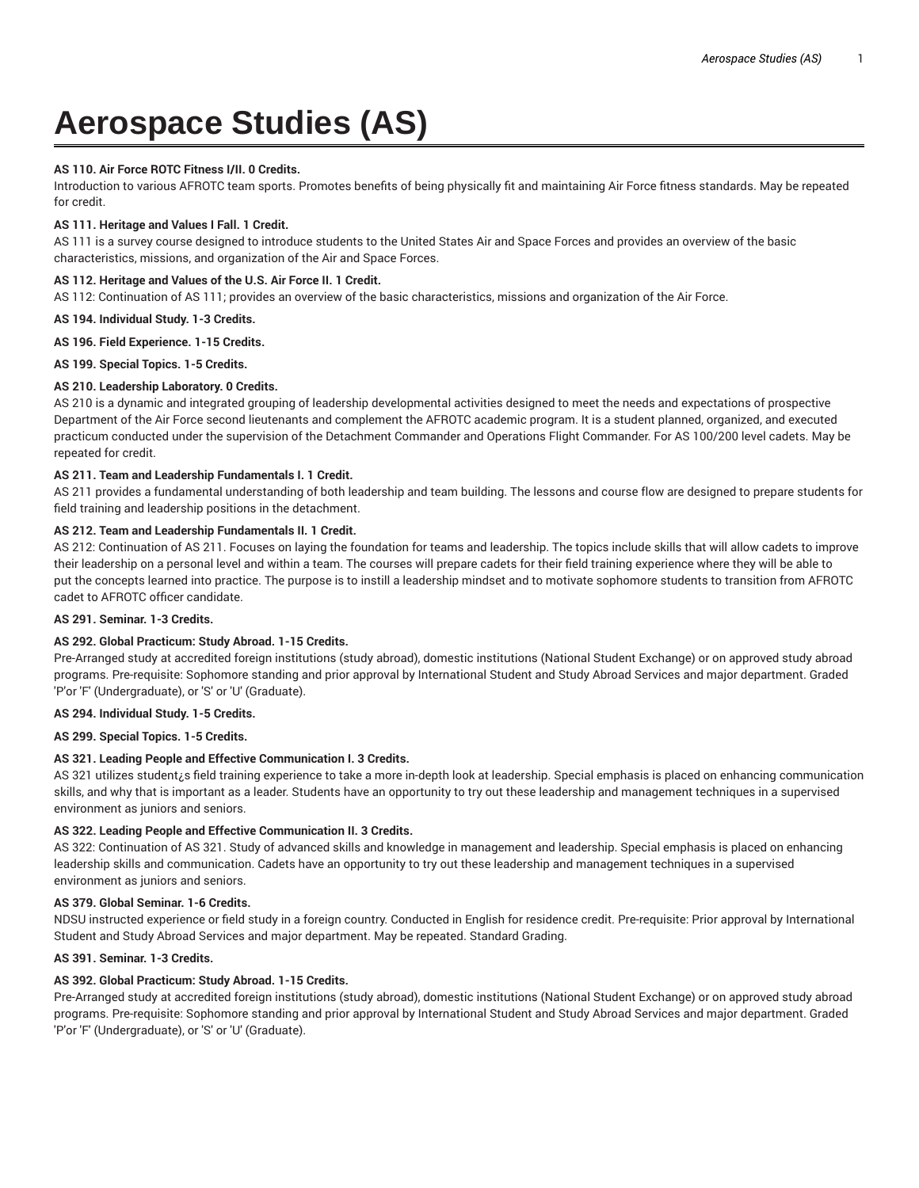# **Aerospace Studies (AS)**

## **AS 110. Air Force ROTC Fitness I/II. 0 Credits.**

Introduction to various AFROTC team sports. Promotes benefits of being physically fit and maintaining Air Force fitness standards. May be repeated for credit.

## **AS 111. Heritage and Values I Fall. 1 Credit.**

AS 111 is a survey course designed to introduce students to the United States Air and Space Forces and provides an overview of the basic characteristics, missions, and organization of the Air and Space Forces.

# **AS 112. Heritage and Values of the U.S. Air Force II. 1 Credit.**

AS 112: Continuation of AS 111; provides an overview of the basic characteristics, missions and organization of the Air Force.

# **AS 194. Individual Study. 1-3 Credits.**

**AS 196. Field Experience. 1-15 Credits.**

**AS 199. Special Topics. 1-5 Credits.**

# **AS 210. Leadership Laboratory. 0 Credits.**

AS 210 is a dynamic and integrated grouping of leadership developmental activities designed to meet the needs and expectations of prospective Department of the Air Force second lieutenants and complement the AFROTC academic program. It is a student planned, organized, and executed practicum conducted under the supervision of the Detachment Commander and Operations Flight Commander. For AS 100/200 level cadets. May be repeated for credit.

# **AS 211. Team and Leadership Fundamentals I. 1 Credit.**

AS 211 provides a fundamental understanding of both leadership and team building. The lessons and course flow are designed to prepare students for field training and leadership positions in the detachment.

# **AS 212. Team and Leadership Fundamentals II. 1 Credit.**

AS 212: Continuation of AS 211. Focuses on laying the foundation for teams and leadership. The topics include skills that will allow cadets to improve their leadership on a personal level and within a team. The courses will prepare cadets for their field training experience where they will be able to put the concepts learned into practice. The purpose is to instill a leadership mindset and to motivate sophomore students to transition from AFROTC cadet to AFROTC officer candidate.

# **AS 291. Seminar. 1-3 Credits.**

#### **AS 292. Global Practicum: Study Abroad. 1-15 Credits.**

Pre-Arranged study at accredited foreign institutions (study abroad), domestic institutions (National Student Exchange) or on approved study abroad programs. Pre-requisite: Sophomore standing and prior approval by International Student and Study Abroad Services and major department. Graded 'P'or 'F' (Undergraduate), or 'S' or 'U' (Graduate).

#### **AS 294. Individual Study. 1-5 Credits.**

**AS 299. Special Topics. 1-5 Credits.**

# **AS 321. Leading People and Effective Communication I. 3 Credits.**

AS 321 utilizes student¿s field training experience to take a more in-depth look at leadership. Special emphasis is placed on enhancing communication skills, and why that is important as a leader. Students have an opportunity to try out these leadership and management techniques in a supervised environment as juniors and seniors.

#### **AS 322. Leading People and Effective Communication II. 3 Credits.**

AS 322: Continuation of AS 321. Study of advanced skills and knowledge in management and leadership. Special emphasis is placed on enhancing leadership skills and communication. Cadets have an opportunity to try out these leadership and management techniques in a supervised environment as juniors and seniors.

#### **AS 379. Global Seminar. 1-6 Credits.**

NDSU instructed experience or field study in a foreign country. Conducted in English for residence credit. Pre-requisite: Prior approval by International Student and Study Abroad Services and major department. May be repeated. Standard Grading.

#### **AS 391. Seminar. 1-3 Credits.**

# **AS 392. Global Practicum: Study Abroad. 1-15 Credits.**

Pre-Arranged study at accredited foreign institutions (study abroad), domestic institutions (National Student Exchange) or on approved study abroad programs. Pre-requisite: Sophomore standing and prior approval by International Student and Study Abroad Services and major department. Graded 'P'or 'F' (Undergraduate), or 'S' or 'U' (Graduate).